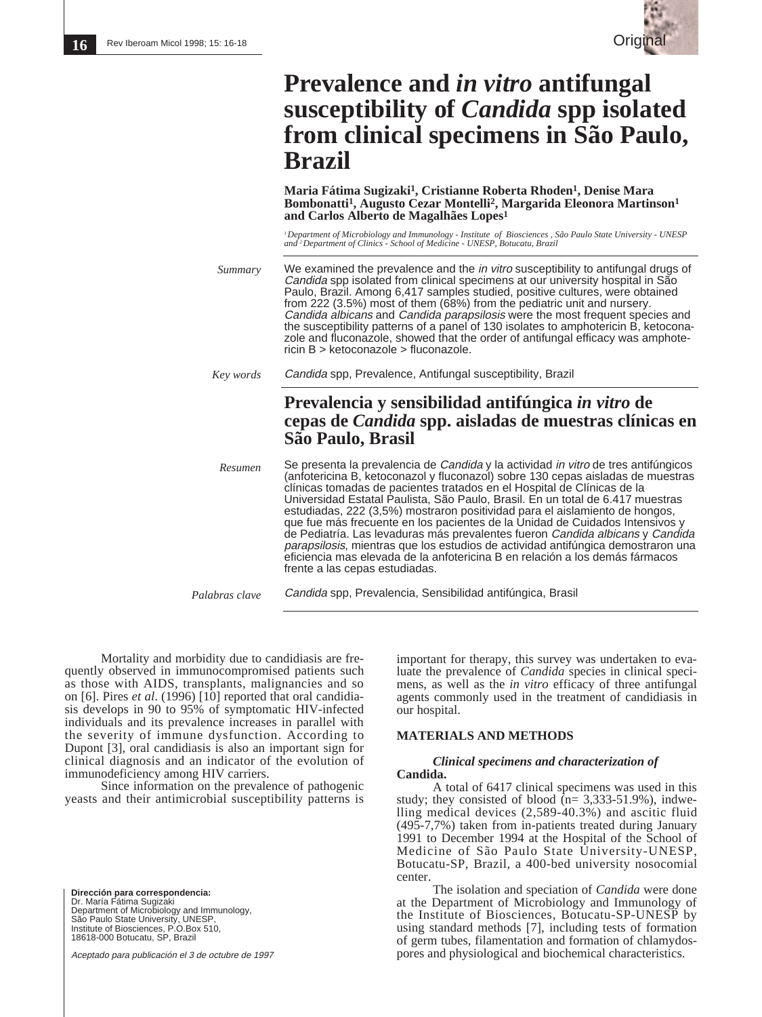

# **Prevalence and** *in vitro* **antifungal susceptibility of** *Candida* **spp isolated from clinical specimens in São Paulo, Brazil**

**Maria Fátima Sugizaki1, Cristianne Roberta Rhoden1, Denise Mara Bombonatti1, Augusto Cezar Montelli2, Margarida Eleonora Martinson1 and Carlos Alberto de Magalhães Lopes1**

*1 Department of Microbiology and Immunology - Institute of Biosciences , São Paulo State University - UNESP and 2 Department of Clinics - School of Medicine - UNESP, Botucatu, Brazil*

We examined the prevalence and the *in vitro* susceptibility to antifungal drugs of Candida spp isolated from clinical specimens at our university hospital in São Paulo, Brazil. Among 6,417 samples studied, positive cultures, were obtained from 222 (3.5%) most of them (68%) from the pediatric unit and nursery. Candida albicans and Candida parapsilosis were the most frequent species and the susceptibility patterns of a panel of 130 isolates to amphotericin B, ketoconazole and fluconazole, showed that the order of antifungal efficacy was amphotericin B > ketoconazole > fluconazole. *Summary*

Candida spp, Prevalence, Antifungal susceptibility, Brazil *Key words*

## **Prevalencia y sensibilidad antifúngica** *in vitro* **de cepas de** *Candida* **spp. aisladas de muestras clínicas en São Paulo, Brasil**

Se presenta la prevalencia de Candida y la actividad in vitro de tres antifúngicos (anfotericina B, ketoconazol y fluconazol) sobre 130 cepas aisladas de muestras clínicas tomadas de pacientes tratados en el Hospital de Clínicas de la Universidad Estatal Paulista, São Paulo, Brasil. En un total de 6.417 muestras estudiadas, 222 (3,5%) mostraron positividad para el aislamiento de hongos, que fue más frecuente en los pacientes de la Unidad de Cuidados Intensivos de Pediatría. Las levaduras más prevalentes fueron Candida albicans y Candida parapsilosis, mientras que los estudios de actividad antifúngica demostraron una eficiencia mas elevada de la anfotericina B en relación a los demás fármacos frente a las cepas estudiadas. *Resumen*

Candida spp, Prevalencia, Sensibilidad antifúngica, Brasil *Palabras clave*

Mortality and morbidity due to candidiasis are frequently observed in immunocompromised patients such as those with AIDS, transplants, malignancies and so on [6]. Pires *et al*. (1996) [10] reported that oral candidiasis develops in 90 to 95% of symptomatic HIV-infected individuals and its prevalence increases in parallel with the severity of immune dysfunction. According to Dupont [3], oral candidiasis is also an important sign for clinical diagnosis and an indicator of the evolution of immunodeficiency among HIV carriers.

Since information on the prevalence of pathogenic yeasts and their antimicrobial susceptibility patterns is

**Dirección para correspondencia:**<br>Dr. María Fátima Sugizaki<br>Department of Microbiology and Immunology, São Paulo State University, UNESP, Institute of Biosciences, P.O.Box 510, 18618-000 Botucatu, SP, Brazil

Aceptado para publicación el 3 de octubre de 1997

important for therapy, this survey was undertaken to evaluate the prevalence of *Candida* species in clinical specimens, as well as the *in vitro* efficacy of three antifungal agents commonly used in the treatment of candidiasis in our hospital.

#### **MATERIALS AND METHODS**

#### *Clinical specimens and characterization of* **Candida.**

A total of 6417 clinical specimens was used in this study; they consisted of blood  $(n= 3,333-51.9\%)$ , indwelling medical devices (2,589-40.3%) and ascitic fluid (495-7,7%) taken from in-patients treated during January 1991 to December 1994 at the Hospital of the School of Medicine of São Paulo State University-UNESP, Botucatu-SP, Brazil, a 400-bed university nosocomial center.

The isolation and speciation of *Candida* were done at the Department of Microbiology and Immunology of the Institute of Biosciences, Botucatu-SP-UNESP by using standard methods [7], including tests of formation of germ tubes, filamentation and formation of chlamydospores and physiological and biochemical characteristics.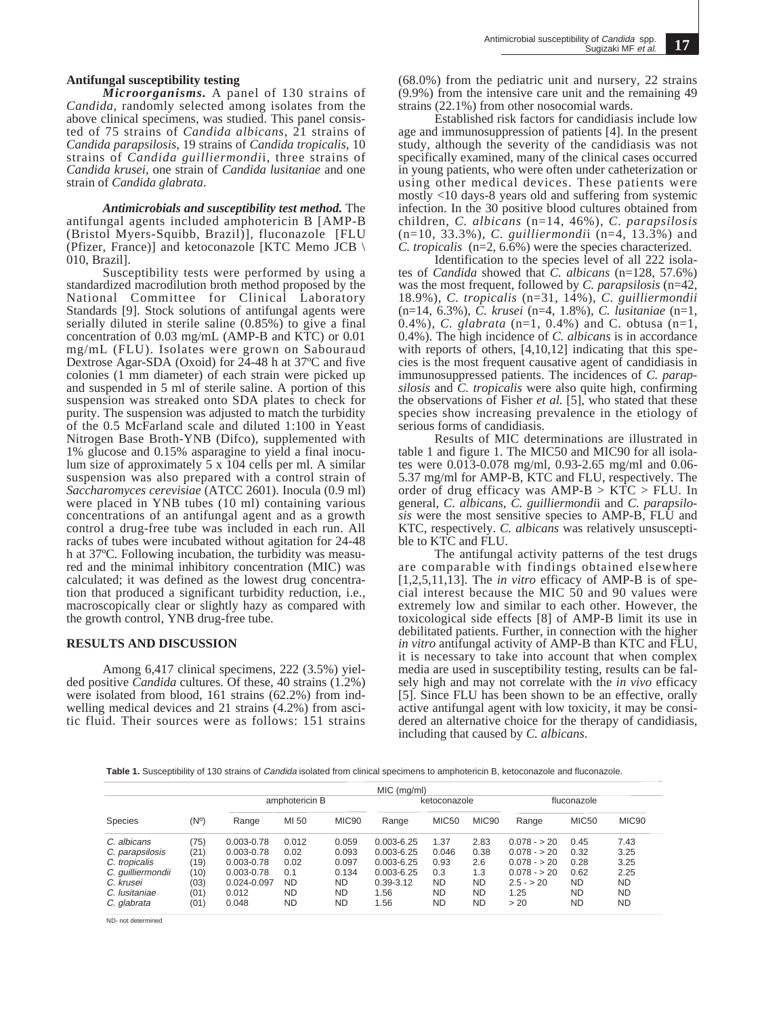*Microorganisms.* A panel of 130 strains of *Candida*, randomly selected among isolates from the above clinical specimens, was studied. This panel consisted of 75 strains of *Candida albicans*, 21 strains of *Candida parapsilosis*, 19 strains of *Candida tropicalis*, 10 strains of *Candida guilliermondi*i, three strains of *Candida krusei*, one strain of *Candida lusitaniae* and one strain of *Candida glabrata*.

*Antimicrobials and susceptibility test method.* The antifungal agents included amphotericin B [AMP-B (Bristol Myers-Squibb, Brazil)], fluconazole [FLU (Pfizer, France)] and ketoconazole [KTC Memo JCB \ 010, Brazil].

Susceptibility tests were performed by using a standardized macrodilution broth method proposed by the National Committee for Clinical Laboratory Standards [9]. Stock solutions of antifungal agents were serially diluted in sterile saline  $(0.85\%)$  to give a final concentration of 0.03 mg/mL (AMP-B and KTC) or 0.01 mg/mL (FLU). Isolates were grown on Sabouraud Dextrose Agar-SDA (Oxoid) for 24-48 h at 37ºC and five colonies (1 mm diameter) of each strain were picked up and suspended in 5 ml of sterile saline. A portion of this suspension was streaked onto SDA plates to check for purity. The suspension was adjusted to match the turbidity of the 0.5 McFarland scale and diluted 1:100 in Yeast Nitrogen Base Broth-YNB (Difco), supplemented with 1% glucose and 0.15% asparagine to yield a final inoculum size of approximately 5 x 104 cells per ml. A similar suspension was also prepared with a control strain of *Saccharomyces cerevisiae* (ATCC 2601). Inocula (0.9 ml) were placed in YNB tubes (10 ml) containing various concentrations of an antifungal agent and as a growth control a drug-free tube was included in each run. All racks of tubes were incubated without agitation for 24-48 h at 37ºC. Following incubation, the turbidity was measured and the minimal inhibitory concentration (MIC) was calculated; it was defined as the lowest drug concentration that produced a significant turbidity reduction, i.e., macroscopically clear or slightly hazy as compared with the growth control, YNB drug-free tube.

#### **RESULTS AND DISCUSSION**

Among 6,417 clinical specimens, 222 (3.5%) yielded positive *Candida* cultures. Of these, 40 strains (1.2%) were isolated from blood, 161 strains (62.2%) from indwelling medical devices and 21 strains (4.2%) from ascitic fluid. Their sources were as follows: 151 strains (68.0%) from the pediatric unit and nursery, 22 strains (9.9%) from the intensive care unit and the remaining 49 strains (22.1%) from other nosocomial wards.

Established risk factors for candidiasis include low age and immunosuppression of patients [4]. In the present study, although the severity of the candidiasis was not specifically examined, many of the clinical cases occurred in young patients, who were often under catheterization or using other medical devices. These patients were mostly <10 days-8 years old and suffering from systemic infection. In the 30 positive blood cultures obtained from children, *C. albicans* (n=14, 46%), *C. parapsilosis* (n=10, 33.3%), *C. guilliermondi*i (n=4, 13.3%) and *C. tropicalis* (n=2, 6.6%) were the species characterized.

Identification to the species level of all 222 isolates of *Candida* showed that *C. albicans* (n=128, 57.6%) was the most frequent, followed by *C. parapsilosis* (n=42, 18.9%), *C. tropicalis* (n=31, 14%), *C. guilliermondii* (n=14, 6.3%), *C. krusei* (n=4, 1.8%), *C. lusitaniae* (n=1, 0.4%), *C. glabrata* (n=1, 0.4%) and *C.* obtusa (n=1, 0.4%). The high incidence of *C. albicans* is in accordance with reports of others,  $[4,10,12]$  indicating that this species is the most frequent causative agent of candidiasis in immunosuppressed patients. The incidences of *C. parapsilosis* and *C. tropicalis* were also quite high, confirming the observations of Fisher *et al.* [5], who stated that these species show increasing prevalence in the etiology of serious forms of candidiasis.

Results of MIC determinations are illustrated in table 1 and figure 1. The MIC50 and MIC90 for all isolates were 0.013-0.078 mg/ml, 0.93-2.65 mg/ml and 0.06- 5.37 mg/ml for AMP-B, KTC and FLU, respectively. The order of drug efficacy was  $AMP-B > KTC > FLU$ . In general, *C. albicans*, *C. guilliermondi*i and *C. parapsilosis* were the most sensitive species to AMP-B, FLU and KTC, respectively. *C. albicans* was relatively unsusceptible to KTC and FLU.

The antifungal activity patterns of the test drugs are comparable with findings obtained elsewhere [1,2,5,11,13]. The *in vitro* efficacy of AMP-B is of special interest because the MIC 50 and 90 values were extremely low and similar to each other. However, the toxicological side effects [8] of AMP-B limit its use in debilitated patients. Further, in connection with the higher *in vitro* antifungal activity of AMP-B than KTC and FLU, it is necessary to take into account that when complex media are used in susceptibility testing, results can be falsely high and may not correlate with the *in vivo* efficacy [5]. Since FLU has been shown to be an effective, orally active antifungal agent with low toxicity, it may be considered an alternative choice for the therapy of candidiasis, including that caused by *C. albicans*.

**Table 1.** Susceptibility of 130 strains of Candida isolated from clinical specimens to amphotericin B, ketoconazole and fluconazole.

|                   |      |                | MIC (mq/ml) |                   |                |              |           |              |           |                   |
|-------------------|------|----------------|-------------|-------------------|----------------|--------------|-----------|--------------|-----------|-------------------|
| <b>Species</b>    | (Nº) | amphotericin B |             |                   | ketoconazole   |              |           | fluconazole  |           |                   |
|                   |      | Range          | MI 50       | MIC <sub>90</sub> | Range          | <b>MIC50</b> | MIC90     | Range        | MIC50     | MIC <sub>90</sub> |
| C. albicans       | (75) | $0.003 - 0.78$ | 0.012       | 0.059             | $0.003 - 6.25$ | 1.37         | 2.83      | $0.078 - 20$ | 0.45      | 7.43              |
| C. parapsilosis   | (21) | $0.003 - 0.78$ | 0.02        | 0.093             | $0.003 - 6.25$ | 0.046        | 0.38      | $0.078 - 20$ | 0.32      | 3.25              |
| C. tropicalis     | (19) | $0.003 - 0.78$ | 0.02        | 0.097             | $0.003 - 6.25$ | 0.93         | 2.6       | $0.078 - 20$ | 0.28      | 3.25              |
| C. guilliermondii | (10) | $0.003 - 0.78$ | 0.1         | 0.134             | $0.003 - 6.25$ | 0.3          | 1.3       | $0.078 - 20$ | 0.62      | 2.25              |
| C. krusei         | (03) | 0.024-0.097    | <b>ND</b>   | <b>ND</b>         | $0.39 - 3.12$  | <b>ND</b>    | <b>ND</b> | $2.5 - 20$   | <b>ND</b> | <b>ND</b>         |
| C. Iusitaniae     | (01) | 0.012          | <b>ND</b>   | <b>ND</b>         | .56            | <b>ND</b>    | <b>ND</b> | 1.25         | <b>ND</b> | <b>ND</b>         |
| C. glabrata       | (01) | 0.048          | <b>ND</b>   | <b>ND</b>         | .56            | <b>ND</b>    | <b>ND</b> | > 20         | <b>ND</b> | <b>ND</b>         |

ND- not determined